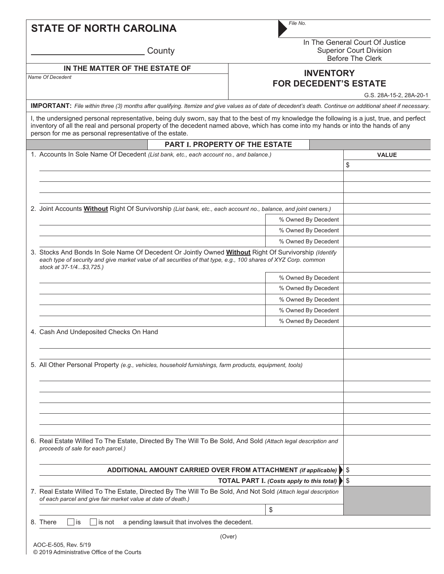| <b>STATE OF NORTH CAROLINA</b> |  |
|--------------------------------|--|
|--------------------------------|--|

**County** 

*File No.*

In The General Court Of Justice Superior Court Division Before The Clerk

## *Name Of Decedent* **IN THE MATTER OF THE ESTATE OF**

## **INVENTORY FOR DECEDENT'S ESTATE**

G.S. 28A-15-2, 28A-20-1

**IMPORTANT:** *File within three (3) months after qualifying. Itemize and give values as of date of decedent's death. Continue on additional sheet if necessary.*

I, the undersigned personal representative, being duly sworn, say that to the best of my knowledge the following is a just, true, and perfect inventory of all the real and personal property of the decedent named above, which has come into my hands or into the hands of any person for me as personal representative of the estate.

| <b>PART I. PROPERTY OF THE ESTATE</b>                                                                                                                                                                                                                 |                     |              |    |
|-------------------------------------------------------------------------------------------------------------------------------------------------------------------------------------------------------------------------------------------------------|---------------------|--------------|----|
| 1. Accounts In Sole Name Of Decedent (List bank, etc., each account no., and balance.)                                                                                                                                                                |                     | <b>VALUE</b> |    |
|                                                                                                                                                                                                                                                       |                     |              | \$ |
|                                                                                                                                                                                                                                                       |                     |              |    |
|                                                                                                                                                                                                                                                       |                     |              |    |
|                                                                                                                                                                                                                                                       |                     |              |    |
| 2. Joint Accounts <b>Without</b> Right Of Survivorship (List bank, etc., each account no., balance, and joint owners.)                                                                                                                                |                     |              |    |
|                                                                                                                                                                                                                                                       | % Owned By Decedent |              |    |
|                                                                                                                                                                                                                                                       | % Owned By Decedent |              |    |
|                                                                                                                                                                                                                                                       | % Owned By Decedent |              |    |
| 3. Stocks And Bonds In Sole Name Of Decedent Or Jointly Owned Without Right Of Survivorship (Identify<br>each type of security and give market value of all securities of that type, e.g., 100 shares of XYZ Corp. common<br>stock at 37-1/4\$3,725.) |                     |              |    |
|                                                                                                                                                                                                                                                       | % Owned By Decedent |              |    |
|                                                                                                                                                                                                                                                       | % Owned By Decedent |              |    |
|                                                                                                                                                                                                                                                       | % Owned By Decedent |              |    |
|                                                                                                                                                                                                                                                       | % Owned By Decedent |              |    |
|                                                                                                                                                                                                                                                       | % Owned By Decedent |              |    |
| 4. Cash And Undeposited Checks On Hand                                                                                                                                                                                                                |                     |              |    |
| 5. All Other Personal Property (e.g., vehicles, household furnishings, farm products, equipment, tools)                                                                                                                                               |                     |              |    |
|                                                                                                                                                                                                                                                       |                     |              |    |
|                                                                                                                                                                                                                                                       |                     |              |    |
|                                                                                                                                                                                                                                                       |                     |              |    |
|                                                                                                                                                                                                                                                       |                     |              |    |
|                                                                                                                                                                                                                                                       |                     |              |    |
| 6. Real Estate Willed To The Estate, Directed By The Will To Be Sold, And Sold (Attach legal description and<br>proceeds of sale for each parcel.)                                                                                                    |                     |              |    |
| ADDITIONAL AMOUNT CARRIED OVER FROM ATTACHMENT (if applicable) \ \ \                                                                                                                                                                                  |                     |              |    |
| <b>TOTAL PART I. (Costs apply to this total)</b>                                                                                                                                                                                                      |                     |              | \$ |
| 7. Real Estate Willed To The Estate, Directed By The Will To Be Sold, And Not Sold (Attach legal description<br>of each parcel and give fair market value at date of death.)                                                                          |                     |              |    |
|                                                                                                                                                                                                                                                       | \$                  |              |    |
| 8. There<br>a pending lawsuit that involves the decedent.<br>∐is<br>is not                                                                                                                                                                            |                     |              |    |